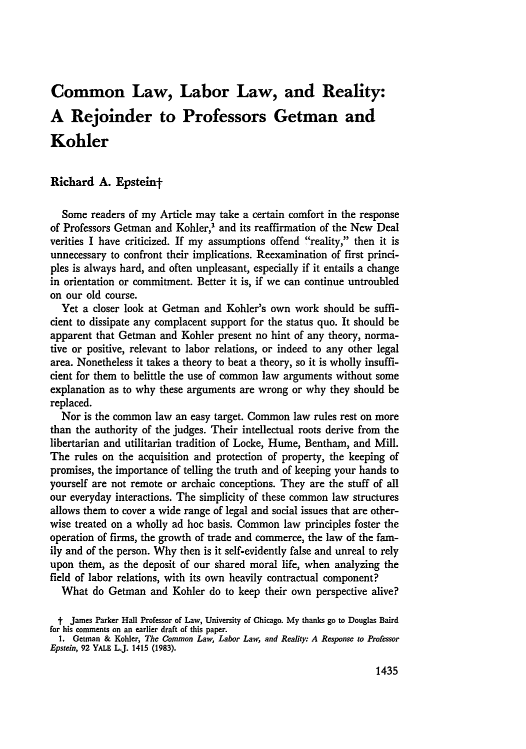## **Common Law, Labor Law, and Reality: A Rejoinder to Professors Getman and Kohler**

## **Richard A. Epsteint**

Some readers of my Article may take a certain comfort in the response of Professors Getman and Kohler,<sup>1</sup> and its reaffirmation of the New Deal verities I have criticized. If my assumptions offend "reality," then it is unnecessary to confront their implications. Reexamination of first principles is always hard, and often unpleasant, especially if it entails a change in orientation or commitment. Better it is, if we can continue untroubled on our old course.

Yet a closer look at Getman and Kohler's own work should be sufficient to dissipate any complacent support for the status quo. It should be apparent that Getman and Kohler present no hint of any theory, normative or positive, relevant to labor relations, or indeed to any other legal area. Nonetheless it takes a theory to beat a theory, so it is wholly insufficient for them to belittle the use of common law arguments without some explanation as to why these arguments are wrong or why they should be replaced.

Nor is the common law an easy target. Common law rules rest on more than the authority of the judges. Their intellectual roots derive from the libertarian and utilitarian tradition of Locke, Hume, Bentham, and Mill. The rules on the acquisition and protection of property, the keeping of promises, the importance of telling the truth and of keeping your hands to yourself are not remote or archaic conceptions. They are the stuff of all our everyday interactions. The simplicity of these common law structures allows them to cover a wide range of legal and social issues that are otherwise treated on a wholly ad hoc basis. Common law principles foster the operation of firms, the growth of trade and commerce, the law of the family and of the person. **Why** then is it self-evidently false and unreal to rely upon them, as the deposit of our shared moral life, when analyzing the field of labor relations, with its own heavily contractual component?

What do Getman and Kohler do to keep their own perspective alive?

t James Parker Hall Professor of Law, University of Chicago. **My** thanks go to Douglas Baird for his comments on an earlier draft of this paper.

**<sup>1.</sup>** Getman **&** Kohler, *The Common Law, Labor Law, and Reality: A Response to Professor Epstein,* **92** YALE L.J. 1415 **(1983).**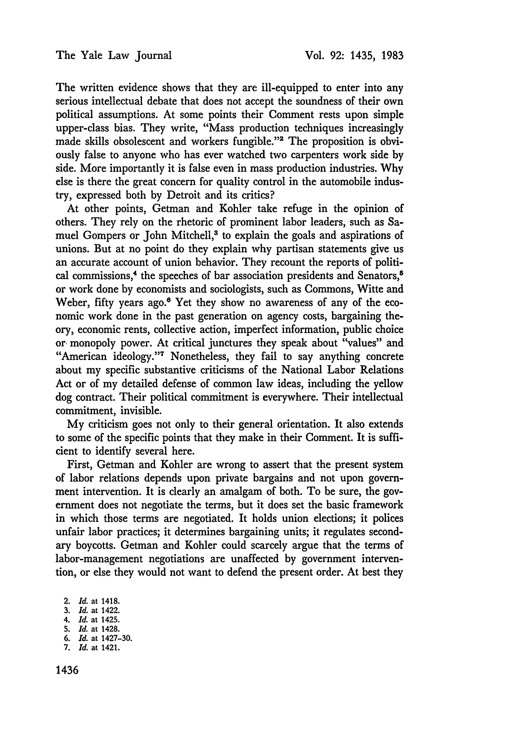The written evidence shows that they are ill-equipped to enter into any serious intellectual debate that does not accept the soundness of their own political assumptions. At some points their Comment rests upon simple upper-class bias. They write, "Mass production techniques increasingly made skills obsolescent and workers fungible."2 The proposition is obviously false to anyone who has ever watched two carpenters work side by side. More importantly it is false even in mass production industries. Why else is there the great concern for quality control in the automobile industry, expressed both by Detroit and its critics?

At other points, Getman and Kohler take refuge in the opinion of others. They rely on the rhetoric of prominent labor leaders, such as Samuel Gompers or John Mitchell,<sup>3</sup> to explain the goals and aspirations of unions. But at no point do they explain why partisan statements give us an accurate account of union behavior. They recount the reports of political commissions,<sup>4</sup> the speeches of bar association presidents and Senators,<sup>5</sup> or work done by economists and sociologists, such as Commons, Witte and Weber, fifty years ago. $6$  Yet they show no awareness of any of the economic work done in the past generation on agency costs, bargaining theory, economic rents, collective action, imperfect information, public choice or monopoly power. At critical junctures they speak about "values" and "American ideology."' Nonetheless, they fail to say anything concrete about my specific substantive criticisms of the National Labor Relations Act or of my detailed defense of common law ideas, including the yellow dog contract. Their political commitment is everywhere. Their intellectual commitment, invisible.

My criticism goes not only to their general orientation. It also extends to some of the specific points that they make in their Comment. It is sufficient to identify several here.

First, Getman and Kohler are wrong to assert that the present system of labor relations depends upon private bargains and not upon government intervention. It is clearly an amalgam of both. To be sure, the government does not negotiate the terms, but it does set the basic framework in which those terms are negotiated. It holds union elections; it polices unfair labor practices; it determines bargaining units; it regulates secondary boycotts. Getman and Kohler could scarcely argue that the terms of labor-management negotiations are unaffected by government intervention, or else they would not want to defend the present order. At best they

- 2. *Id.* at 1418.
- 3. *Id.* at 1422.
- *4. Id.* at 1425.
- 5. *Id.* at 1428. *6. Id.* at 1427-30.
- *7. Id.* at 1421.
-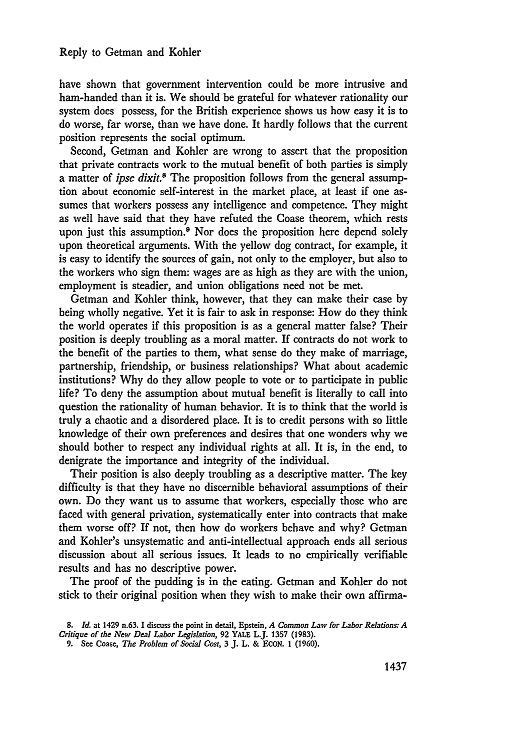have shown that government intervention could be more intrusive and ham-handed than it is. We should be grateful for whatever rationality our system does possess, for the British experience shows us how easy it is to do worse, far worse, than we have done. It hardly follows that the current position represents the social optimum.

Second, Getman and Kohler are wrong to assert that the proposition that private contracts work to the mutual benefit of both parties is simply a matter of *ipse dixit.8* The proposition follows from the general assumption about economic self-interest in the market place, at least if one assumes that workers possess any intelligence and competence. They might as well have said that they have refuted the Coase theorem, which rests upon just this assumption.<sup>9</sup> Nor does the proposition here depend solely upon theoretical arguments. With the yellow dog contract, for example, it is easy to identify the sources of gain, not only to the employer, but also to the workers who sign them: wages are as high as they are with the union, employment is steadier, and union obligations need not be met.

Getman and Kohler think, however, that they can make their case by being wholly negative. Yet it is fair to ask in response: How do they think the world operates if this proposition is as a general matter false? Their position is deeply troubling as a moral matter. If contracts do not work to the benefit of the parties to them, what sense do they make of marriage, partnership, friendship, or business relationships? What about academic institutions? Why do they allow people to vote or to participate in public life? To deny the assumption about mutual benefit is literally to call into question the rationality of human behavior. It is to think that the world is truly a chaotic and a disordered place. It is to credit persons with so little knowledge of their own preferences and desires that one wonders why we should bother to respect any individual rights at all. It is, in the end, to denigrate the importance and integrity of the individual.

Their position is also deeply troubling as a descriptive matter. The key difficulty is that they have no discernible behavioral assumptions of their own. Do they want us to assume that workers, especially those who are faced with general privation, systematically enter into contracts that make them worse off? If not, then how do workers behave and why? Getman and Kohler's unsystematic and anti-intellectual approach ends all serious discussion about all serious issues. It leads to no empirically verifiable results and has no descriptive power.

The proof of the pudding is in the eating. Getman and Kohler do not stick to their original position when they wish to make their own affirma-

*<sup>8.</sup> Id.* at 1429 n.63. I discuss the point in detail, Epstein, *A Common Law for Labor Relations: A Critique of the New Deal Labor Legislation,* **92** YALE L.J. 1357 (1983).

<sup>9.</sup> See Coase, *The Problem of Social Cost,* 3 J. L. & **ECON.** 1 **(1960).**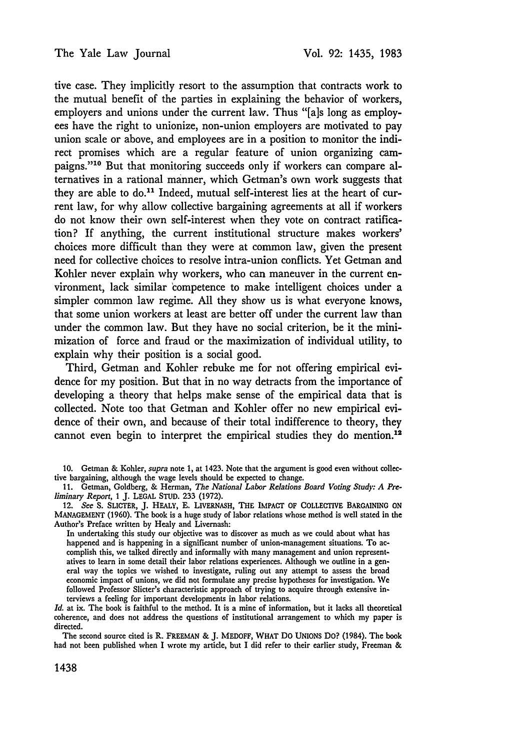tive case. They implicitly resort to the assumption that contracts work to the mutual benefit of the parties in explaining the behavior of workers, employers and unions under the current law. Thus "[als long as employees have the right to unionize, non-union employers are motivated to pay union scale or above, and employees are in a position to monitor the indirect promises which are a regular feature of union organizing campaigns."<sup>10</sup> But that monitoring succeeds only if workers can compare alternatives in a rational manner, which Getman's own work suggests that they are able to do.<sup>11</sup> Indeed, mutual self-interest lies at the heart of current law, for why allow collective bargaining agreements at all if workers do not know their own self-interest when they vote on contract ratification? If anything, the current institutional structure makes workers' choices more difficult than they were at common law, given the present need for collective choices to resolve intra-union conflicts. Yet Getman and Kohler never explain why workers, who can maneuver in the current environment, lack similar 'competence to make intelligent choices under a simpler common law regime. All they show us is what everyone knows, that some union workers at least are better off under the current law than under the common law. But they have no social criterion, be it the minimization of force and fraud or the maximization of individual utility, to explain why their position is a social good.

Third, Getman and Kohler rebuke me for not offering empirical evidence for my position. But that in no way detracts from the importance of developing a theory that helps make sense of the empirical data that is collected. Note too that Getman and Kohler offer no new empirical evidence of their own, and because of their total indifference to theory, they cannot even begin to interpret the empirical studies they do mention.<sup>12</sup>

In undertaking this study our objective was to discover as much as we could about what has happened and is happening in a significant number of union-management situations. To accomplish this, we talked directly and informally with many management and union representatives to learn in some detail their labor relations experiences. Although we outline in a general way the topics we wished to investigate, ruling out any attempt to assess the broad economic impact of unions, we did not formulate any precise hypotheses for investigation. We followed Professor Slicter's characteristic approach of trying to acquire through extensive interviews a feeling for important developments in labor relations.

*Id.* at ix. The book is faithful to the method. It is a mine of information, but it lacks all theoretical coherence, and does not address the questions of institutional arrangement to which my paper is directed.

The second source cited is R. **FREEMAN** & J. MEDOFF, WHAT DO UNIONS **Do?** (1984). The book had not been published when I wrote my article, but I did refer to their earlier study, Freeman &

1438

<sup>10.</sup> Getman & Kohler, *supra* note 1, at 1423. Note that the argument is good even without collective bargaining, although the wage levels should be expected to change.

**<sup>11.</sup>** Getman, Goldberg, & Herman, *The National Labor Relations Board Voting Study: A Preliminary Report,* **1 J. LEGAL STUD. 233 (1972).**

<sup>12.</sup> *See* S. SLICTER, **J.** HEALY, **E.** LIVERNASH, THE IMPACT OF COLLECTIVE **BARGAINING ON** MANAGEMENT **(1960).** The book is a huge study of labor relations whose method is well stated in the Author's Preface written by Healy and Livernash: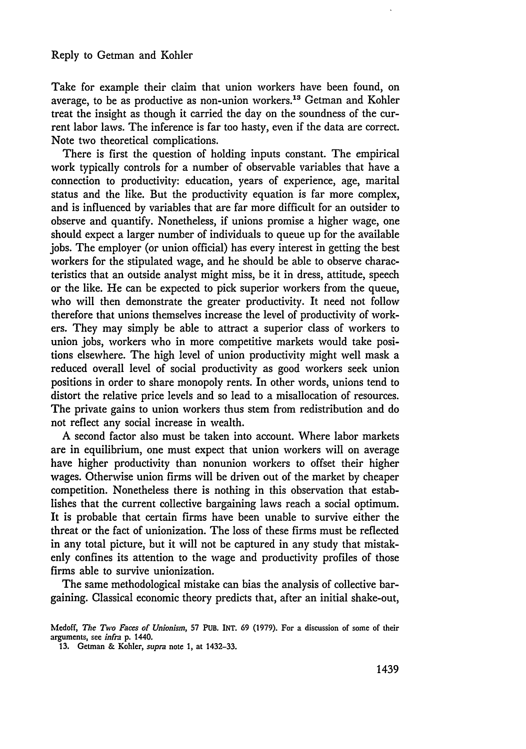Take for example their claim that union workers have been found, on average, to be as productive as non-union workers.13 Getman and Kohler treat the insight as though it carried the day on the soundness of the current labor laws. The inference is far too hasty, even if the data are correct. Note two theoretical complications.

There is first the question of holding inputs constant. The empirical work typically controls for a number of observable variables that have a connection to productivity: education, years of experience, age, marital status and the like. But the productivity equation is far more complex, and is influenced by variables that are far more difficult for an outsider to observe and quantify. Nonetheless, if unions promise a higher wage, one should expect a larger number of individuals to queue up for the available jobs. The employer (or union official) has every interest in getting the best workers for the stipulated wage, and he should be able to observe characteristics that an outside analyst might miss, be it in dress, attitude, speech or the like. He can be expected to pick superior workers from the queue, who will then demonstrate the greater productivity. It need not follow therefore that unions themselves increase the level of productivity of workers. They may simply be able to attract a superior class of workers to union jobs, workers who in more competitive markets would take positions elsewhere. The high level of union productivity might well mask a reduced overall level of social productivity as good workers seek union positions in order to share monopoly rents. In other words, unions tend to distort the relative price levels and so lead to a misallocation of resources. The private gains to union workers thus stem from redistribution and do not reflect any social increase in wealth.

A second factor also must be taken into account. Where labor markets are in equilibrium, one must expect that union workers will on average have higher productivity than nonunion workers to offset their higher wages. Otherwise union firms will be driven out of the market by cheaper competition. Nonetheless there is nothing in this observation that establishes that the current collective bargaining laws reach a social optimum. It is probable that certain firms have been unable to survive either the threat or the fact of unionization. The loss of these firms must be reflected in any total picture, but it will not be captured in any study that mistakenly confines its attention to the wage and productivity profiles of those firms able to survive unionization.

The same methodological mistake can bias the analysis of collective bargaining. Classical economic theory predicts that, after an initial shake-out,

Medoff, *The Two Faces of Unionism,* 57 PUB. INT. **69 (1979).** For a discussion of some of their arguments, see *infra* **p.** 1440.

**<sup>13.</sup>** Getman **&** Kohler, *supra* note **1,** at 1432-33.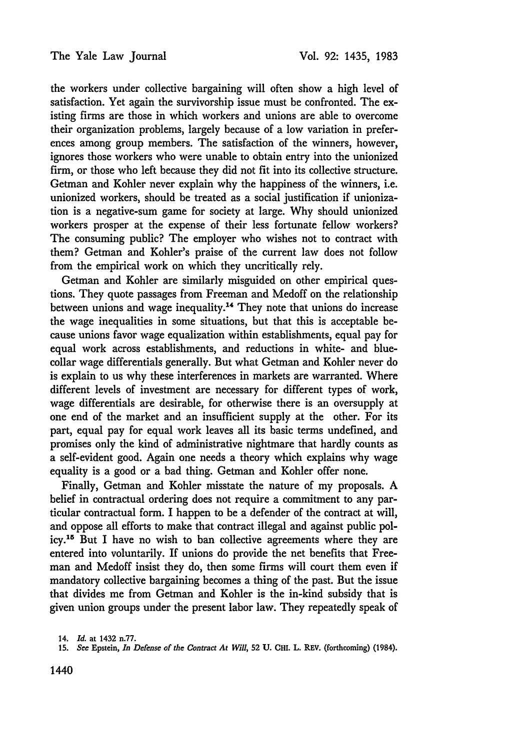the workers under collective bargaining will often show a high level of satisfaction. Yet again the survivorship issue must be confronted. The existing firms are those in which workers and unions are able to overcome their organization problems, largely because of a low variation in preferences among group members. The satisfaction of the winners, however, ignores those workers who were unable to obtain entry into the unionized firm, or those who left because they did not fit into its collective structure. Getman and Kohler never explain why the happiness of the winners, i.e. unionized workers, should be treated as a social justification if unionization is a negative-sum game for society at large. **Why** should unionized workers prosper at the expense of their less fortunate fellow workers? The consuming public? The employer who wishes not to contract with them? Getman and Kohler's praise of the current law does not follow from the empirical work on which they uncritically rely.

Getman and Kohler are similarly misguided on other empirical questions. They quote passages from Freeman and Medoff on the relationship between unions and wage inequality.<sup>14</sup> They note that unions do increase the wage inequalities in some situations, but that this is acceptable because unions favor wage equalization within establishments, equal pay for equal work across establishments, and reductions in white- and bluecollar wage differentials generally. But what Getman and Kohler never do is explain to us why these interferences in markets are warranted. Where different levels of investment are necessary for different types of work, wage differentials are desirable, for otherwise there is an oversupply at one end of the market and an insufficient supply at the other. For its part, equal pay for equal work leaves all its basic terms undefined, and promises only the kind of administrative nightmare that hardly counts as a self-evident good. Again one needs a theory which explains why wage equality is a good or a bad thing. Getman and Kohler offer none.

Finally, Getman and Kohler misstate the nature of my proposals. A belief in contractual ordering does not require a commitment to any particular contractual form. I happen to be a defender of the contract at will, and oppose all efforts to make that contract illegal and against public policy.<sup>15</sup> But I have no wish to ban collective agreements where they are entered into voluntarily. If unions do provide the net benefits that Freeman and Medoff insist they do, then some firms will court them even if mandatory collective bargaining becomes a thing of the past. But the issue that divides me from Getman and Kohler is the in-kind subsidy that is given union groups under the present labor law. They repeatedly speak of

<sup>14.</sup> *Id.* at 1432 n.77.

**<sup>15.</sup>** *See* Epstein, *In Defense of the Contract At Will,* 52 **U.** CHI. L. REV. (forthcoming) (1984).